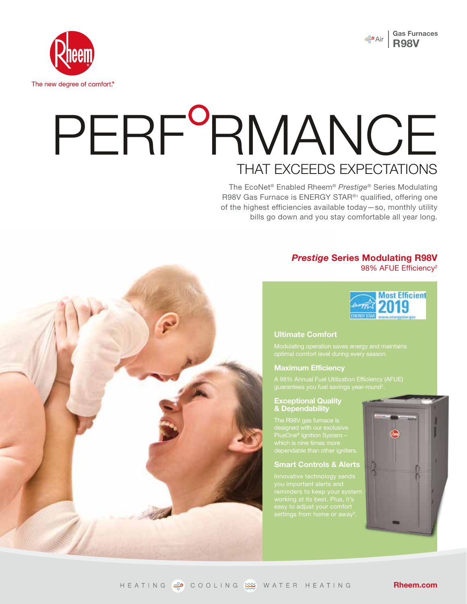



# PERF<sup>o</sup>RMANCE THAT EXCEEDS EXPECTATIONS

The EcoNet® Enabled Rheem® *Prestige*® Series Modulating R98V Gas Furnace is ENERGY STAR®1 qualified, offering one of the highest efficiencies available today—so, monthly utility bills go down and you stay comfortable all year long.

# *Prestige* **Series Modulating R98V** 98% AFUE Efficiency<sup>2</sup>



#### **Ultimate Comfort**

Modulating operation saves energy and maintains

#### **Maximum Efficiency**

#### **Exceptional Quality & Dependability**

PlusOne® Ignition System –

#### **Smart Controls & Alerts**



**Rheem.com**

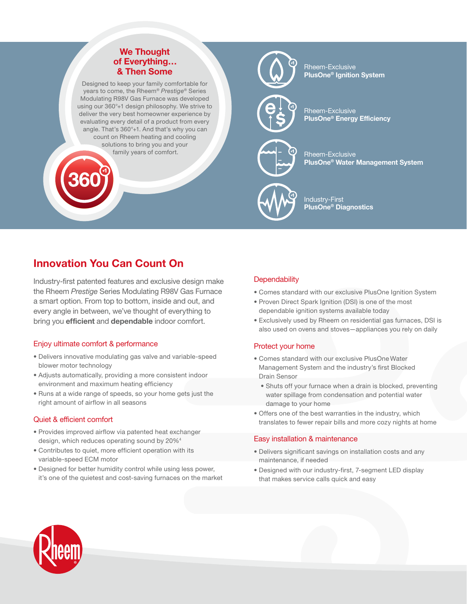# **We Thought of Everything… & Then Some**

Designed to keep your family comfortable for years to come, the Rheem® *Prestige®* Series Modulating R98V Gas Furnace was developed using our 360°+1 design philosophy. We strive to deliver the very best homeowner experience by evaluating every detail of a product from every angle. That's 360°+1. And that's why you can count on Rheem heating and cooling solutions to bring you and your family years of comfort.



Rheem-Exclusive **PlusOne® Ignition System**

Rheem-Exclusive **PlusOne® Energy Efficiency**

Rheem-Exclusive **PlusOne® Water Management System**



Industry-First **PlusOne® Diagnostics**

# **Innovation You Can Count On**

Industry-first patented features and exclusive design make the Rheem *Prestige* Series Modulating R98V Gas Furnace a smart option. From top to bottom, inside and out, and every angle in between, we've thought of everything to bring you **efficient** and **dependable** indoor comfort.

# Enjoy ultimate comfort & performance

- Delivers innovative modulating gas valve and variable-speed blower motor technology
- Adjusts automatically, providing a more consistent indoor environment and maximum heating efficiency
- Runs at a wide range of speeds, so your home gets just the right amount of airflow in all seasons

#### Quiet & efficient comfort

- Provides improved airflow via patented heat exchanger design, which reduces operating sound by 20%4
- Contributes to quiet, more efficient operation with its variable-speed ECM motor
- Designed for better humidity control while using less power, it's one of the quietest and cost-saving furnaces on the market

# **Dependability**

- Comes standard with our exclusive PlusOne Ignition System
- Proven Direct Spark Ignition (DSI) is one of the most dependable ignition systems available today
- Exclusively used by Rheem on residential gas furnaces, DSI is also used on ovens and stoves—appliances you rely on daily

# Protect your home

- Comes standard with our exclusive PlusOne Water Management System and the industry's first Blocked Drain Sensor
	- Shuts off your furnace when a drain is blocked, preventing water spillage from condensation and potential water damage to your home
- Offers one of the best warranties in the industry, which translates to fewer repair bills and more cozy nights at home

#### Easy installation & maintenance

- Delivers significant savings on installation costs and any maintenance, if needed
- Designed with our industry-first, 7-segment LED display that makes service calls quick and easy

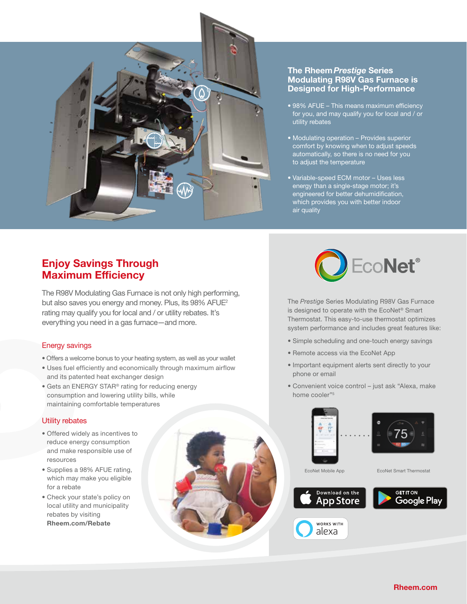

#### **The Rheem***Prestige* **Series Modulating R98V Gas Furnace is Designed for High-Performance**

- 98% AFUE This means maximum efficiency for you, and may qualify you for local and / or utility rebates
- Modulating operation Provides superior comfort by knowing when to adjust speeds automatically, so there is no need for you to adjust the temperature
- Variable-speed ECM motor Uses less energy than a single-stage motor; it's engineered for better dehumidification, which provides you with better indoor air quality

# **Enjoy Savings Through Maximum Efficiency**

The R98V Modulating Gas Furnace is not only high performing, but also saves you energy and money. Plus, its 98% AFUE<sup>2</sup> rating may qualify you for local and / or utility rebates. It's everything you need in a gas furnace—and more.

# Energy savings

- Offers a welcome bonus to your heating system, as well as your wallet
- Uses fuel efficiently and economically through maximum airflow and its patented heat exchanger design
- Gets an ENERGY STAR® rating for reducing energy consumption and lowering utility bills, while maintaining comfortable temperatures

#### Utility rebates

- Offered widely as incentives to reduce energy consumption and make responsible use of resources
- Supplies a 98% AFUE rating, which may make you eligible for a rebate
- Check your state's policy on local utility and municipality rebates by visiting **Rheem.com/Rebate**





The *Prestige* Series Modulating R98V Gas Furnace is designed to operate with the EcoNet® Smart Thermostat. This easy-to-use thermostat optimizes system performance and includes great features like:

- Simple scheduling and one-touch energy savings
- Remote access via the EcoNet App
- Important equipment alerts sent directly to your phone or email
- Convenient voice control just ask "Alexa, make home cooler"5









WORKS WITH alexa